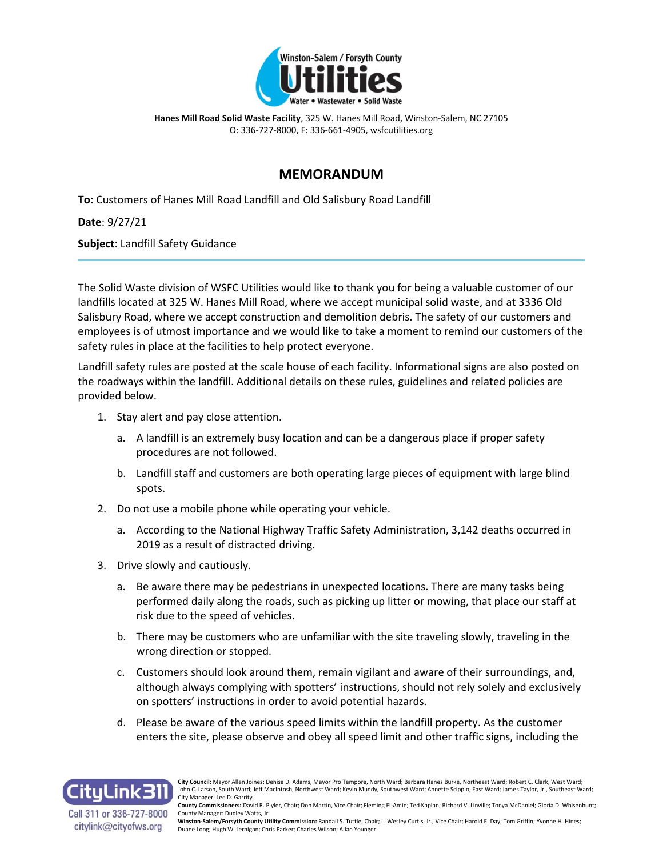

**Hanes Mill Road Solid Waste Facility**, 325 W. Hanes Mill Road, Winston-Salem, NC 27105 O: 336-727-8000, F: 336-661-4905, wsfcutilities.org

## **MEMORANDUM**

**To**: Customers of Hanes Mill Road Landfill and Old Salisbury Road Landfill

**Date**: 9/27/21

**Subject**: Landfill Safety Guidance

The Solid Waste division of WSFC Utilities would like to thank you for being a valuable customer of our landfills located at 325 W. Hanes Mill Road, where we accept municipal solid waste, and at 3336 Old Salisbury Road, where we accept construction and demolition debris. The safety of our customers and employees is of utmost importance and we would like to take a moment to remind our customers of the safety rules in place at the facilities to help protect everyone.

Landfill safety rules are posted at the scale house of each facility. Informational signs are also posted on the roadways within the landfill. Additional details on these rules, guidelines and related policies are provided below.

- 1. Stay alert and pay close attention.
	- a. A landfill is an extremely busy location and can be a dangerous place if proper safety procedures are not followed.
	- b. Landfill staff and customers are both operating large pieces of equipment with large blind spots.
- 2. Do not use a mobile phone while operating your vehicle.
	- a. According to the National Highway Traffic Safety Administration, 3,142 deaths occurred in 2019 as a result of distracted driving.
- 3. Drive slowly and cautiously.
	- a. Be aware there may be pedestrians in unexpected locations. There are many tasks being performed daily along the roads, such as picking up litter or mowing, that place our staff at risk due to the speed of vehicles.
	- b. There may be customers who are unfamiliar with the site traveling slowly, traveling in the wrong direction or stopped.
	- c. Customers should look around them, remain vigilant and aware of their surroundings, and, although always complying with spotters' instructions, should not rely solely and exclusively on spotters' instructions in order to avoid potential hazards.
	- d. Please be aware of the various speed limits within the landfill property. As the customer enters the site, please observe and obey all speed limit and other traffic signs, including the



citylink@cityofws.org

**City Council:** Mayor Allen Joines; Denise D. Adams, Mayor Pro Tempore, North Ward; Barbara Hanes Burke, Northeast Ward; Robert C. Clark, West Ward; John C. Larson, South Ward; Jeff MacIntosh, Northwest Ward; Kevin Mundy, Southwest Ward; Annette Scippio, East Ward; James Taylor, Jr., Southeast Ward; City Manager: Lee D. Garrity

**County Commissioners:** David R. Plyler, Chair; Don Martin, Vice Chair; Fleming El-Amin; Ted Kaplan; Richard V. Linville; Tonya McDaniel; Gloria D. Whisenhunt; County Manager: Dudley Watts, Jr.

Winston-Salem/Forsyth County Utility Commission: Randall S. Tuttle, Chair; L. Wesley Curtis, Jr., Vice Chair; Harold E. Day; Tom Griffin; Yvonne H. Hines; Duane Long; Hugh W. Jernigan; Chris Parker; Charles Wilson; Allan Younger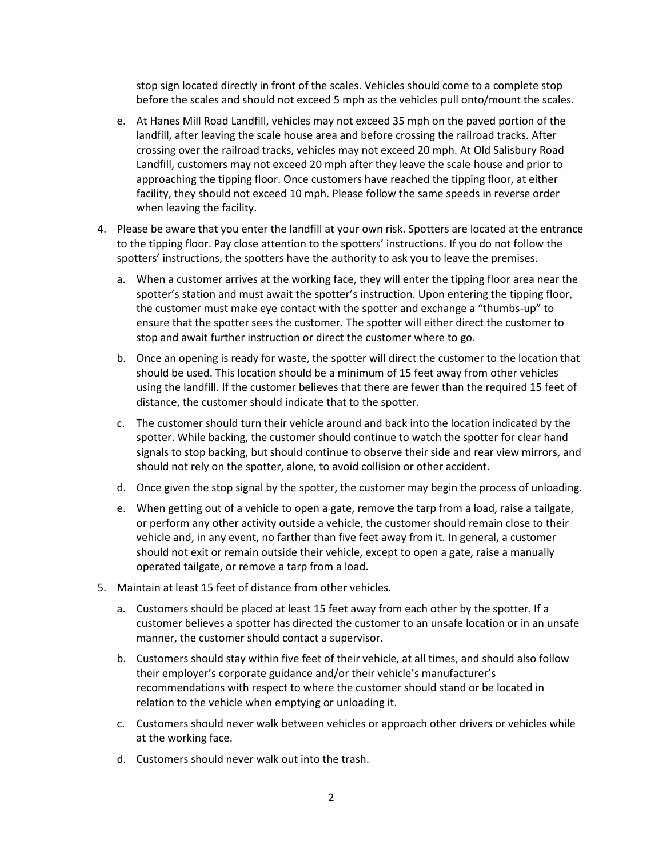stop sign located directly in front of the scales. Vehicles should come to a complete stop before the scales and should not exceed 5 mph as the vehicles pull onto/mount the scales.

- e. At Hanes Mill Road Landfill, vehicles may not exceed 35 mph on the paved portion of the landfill, after leaving the scale house area and before crossing the railroad tracks. After crossing over the railroad tracks, vehicles may not exceed 20 mph. At Old Salisbury Road Landfill, customers may not exceed 20 mph after they leave the scale house and prior to approaching the tipping floor. Once customers have reached the tipping floor, at either facility, they should not exceed 10 mph. Please follow the same speeds in reverse order when leaving the facility.
- 4. Please be aware that you enter the landfill at your own risk. Spotters are located at the entrance to the tipping floor. Pay close attention to the spotters' instructions. If you do not follow the spotters' instructions, the spotters have the authority to ask you to leave the premises.
	- a. When a customer arrives at the working face, they will enter the tipping floor area near the spotter's station and must await the spotter's instruction. Upon entering the tipping floor, the customer must make eye contact with the spotter and exchange a "thumbs-up" to ensure that the spotter sees the customer. The spotter will either direct the customer to stop and await further instruction or direct the customer where to go.
	- b. Once an opening is ready for waste, the spotter will direct the customer to the location that should be used. This location should be a minimum of 15 feet away from other vehicles using the landfill. If the customer believes that there are fewer than the required 15 feet of distance, the customer should indicate that to the spotter.
	- c. The customer should turn their vehicle around and back into the location indicated by the spotter. While backing, the customer should continue to watch the spotter for clear hand signals to stop backing, but should continue to observe their side and rear view mirrors, and should not rely on the spotter, alone, to avoid collision or other accident.
	- d. Once given the stop signal by the spotter, the customer may begin the process of unloading.
	- e. When getting out of a vehicle to open a gate, remove the tarp from a load, raise a tailgate, or perform any other activity outside a vehicle, the customer should remain close to their vehicle and, in any event, no farther than five feet away from it. In general, a customer should not exit or remain outside their vehicle, except to open a gate, raise a manually operated tailgate, or remove a tarp from a load.
- 5. Maintain at least 15 feet of distance from other vehicles.
	- a. Customers should be placed at least 15 feet away from each other by the spotter. If a customer believes a spotter has directed the customer to an unsafe location or in an unsafe manner, the customer should contact a supervisor.
	- b. Customers should stay within five feet of their vehicle, at all times, and should also follow their employer's corporate guidance and/or their vehicle's manufacturer's recommendations with respect to where the customer should stand or be located in relation to the vehicle when emptying or unloading it.
	- c. Customers should never walk between vehicles or approach other drivers or vehicles while at the working face.
	- d. Customers should never walk out into the trash.